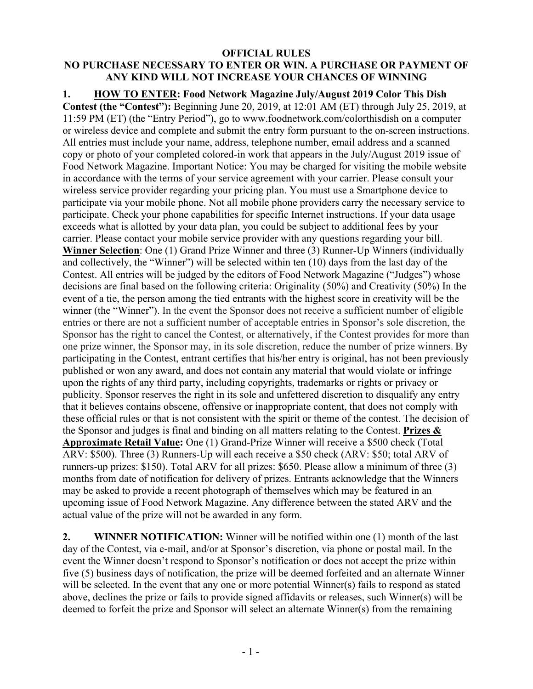## **OFFICIAL RULES NO PURCHASE NECESSARY TO ENTER OR WIN. A PURCHASE OR PAYMENT OF ANY KIND WILL NOT INCREASE YOUR CHANCES OF WINNING**

**1. HOW TO ENTER: Food Network Magazine July/August 2019 Color This Dish Contest (the "Contest"):** Beginning June 20, 2019, at 12:01 AM (ET) through July 25, 2019, at 11:59 PM (ET) (the "Entry Period"), go to www.foodnetwork.com/colorthisdish on a computer or wireless device and complete and submit the entry form pursuant to the on-screen instructions. All entries must include your name, address, telephone number, email address and a scanned copy or photo of your completed colored-in work that appears in the July/August 2019 issue of Food Network Magazine. Important Notice: You may be charged for visiting the mobile website in accordance with the terms of your service agreement with your carrier. Please consult your wireless service provider regarding your pricing plan. You must use a Smartphone device to participate via your mobile phone. Not all mobile phone providers carry the necessary service to participate. Check your phone capabilities for specific Internet instructions. If your data usage exceeds what is allotted by your data plan, you could be subject to additional fees by your carrier. Please contact your mobile service provider with any questions regarding your bill. **Winner Selection**: One (1) Grand Prize Winner and three (3) Runner-Up Winners (individually and collectively, the "Winner") will be selected within ten (10) days from the last day of the Contest. All entries will be judged by the editors of Food Network Magazine ("Judges") whose decisions are final based on the following criteria: Originality (50%) and Creativity (50%) In the event of a tie, the person among the tied entrants with the highest score in creativity will be the winner (the "Winner"). In the event the Sponsor does not receive a sufficient number of eligible entries or there are not a sufficient number of acceptable entries in Sponsor's sole discretion, the Sponsor has the right to cancel the Contest, or alternatively, if the Contest provides for more than one prize winner, the Sponsor may, in its sole discretion, reduce the number of prize winners. By participating in the Contest, entrant certifies that his/her entry is original, has not been previously published or won any award, and does not contain any material that would violate or infringe upon the rights of any third party, including copyrights, trademarks or rights or privacy or publicity. Sponsor reserves the right in its sole and unfettered discretion to disqualify any entry that it believes contains obscene, offensive or inappropriate content, that does not comply with these official rules or that is not consistent with the spirit or theme of the contest. The decision of the Sponsor and judges is final and binding on all matters relating to the Contest. **Prizes & Approximate Retail Value:** One (1) Grand-Prize Winner will receive a \$500 check (Total ARV: \$500). Three (3) Runners-Up will each receive a \$50 check (ARV: \$50; total ARV of runners-up prizes: \$150). Total ARV for all prizes: \$650. Please allow a minimum of three (3) months from date of notification for delivery of prizes. Entrants acknowledge that the Winners may be asked to provide a recent photograph of themselves which may be featured in an upcoming issue of Food Network Magazine. Any difference between the stated ARV and the actual value of the prize will not be awarded in any form.

**2. WINNER NOTIFICATION:** Winner will be notified within one (1) month of the last day of the Contest, via e-mail, and/or at Sponsor's discretion, via phone or postal mail. In the event the Winner doesn't respond to Sponsor's notification or does not accept the prize within five (5) business days of notification, the prize will be deemed forfeited and an alternate Winner will be selected. In the event that any one or more potential Winner(s) fails to respond as stated above, declines the prize or fails to provide signed affidavits or releases, such Winner(s) will be deemed to forfeit the prize and Sponsor will select an alternate Winner(s) from the remaining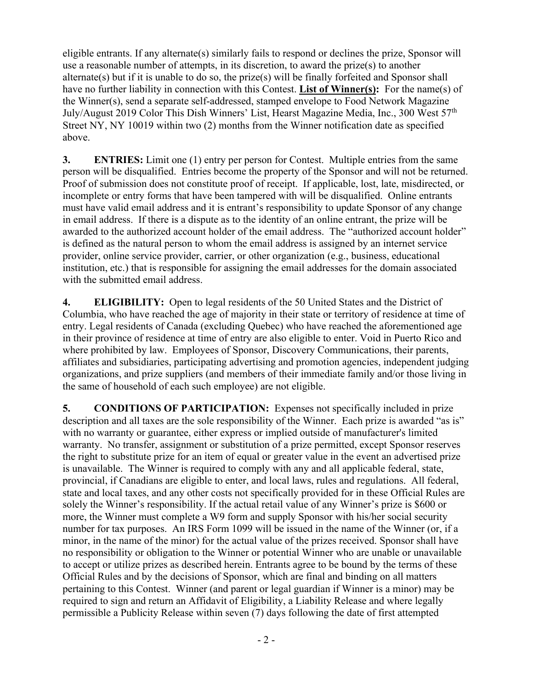eligible entrants. If any alternate(s) similarly fails to respond or declines the prize, Sponsor will use a reasonable number of attempts, in its discretion, to award the prize(s) to another alternate(s) but if it is unable to do so, the prize(s) will be finally forfeited and Sponsor shall have no further liability in connection with this Contest. **List of Winner(s):** For the name(s) of the Winner(s), send a separate self-addressed, stamped envelope to Food Network Magazine July/August 2019 Color This Dish Winners' List, Hearst Magazine Media, Inc., 300 West 57th Street NY, NY 10019 within two (2) months from the Winner notification date as specified above.

**3. ENTRIES:** Limit one (1) entry per person for Contest. Multiple entries from the same person will be disqualified. Entries become the property of the Sponsor and will not be returned. Proof of submission does not constitute proof of receipt. If applicable, lost, late, misdirected, or incomplete or entry forms that have been tampered with will be disqualified. Online entrants must have valid email address and it is entrant's responsibility to update Sponsor of any change in email address. If there is a dispute as to the identity of an online entrant, the prize will be awarded to the authorized account holder of the email address. The "authorized account holder" is defined as the natural person to whom the email address is assigned by an internet service provider, online service provider, carrier, or other organization (e.g., business, educational institution, etc.) that is responsible for assigning the email addresses for the domain associated with the submitted email address.

**4. ELIGIBILITY:** Open to legal residents of the 50 United States and the District of Columbia, who have reached the age of majority in their state or territory of residence at time of entry. Legal residents of Canada (excluding Quebec) who have reached the aforementioned age in their province of residence at time of entry are also eligible to enter. Void in Puerto Rico and where prohibited by law. Employees of Sponsor, Discovery Communications, their parents, affiliates and subsidiaries, participating advertising and promotion agencies, independent judging organizations, and prize suppliers (and members of their immediate family and/or those living in the same of household of each such employee) are not eligible.

**5. CONDITIONS OF PARTICIPATION:** Expenses not specifically included in prize description and all taxes are the sole responsibility of the Winner. Each prize is awarded "as is" with no warranty or guarantee, either express or implied outside of manufacturer's limited warranty. No transfer, assignment or substitution of a prize permitted, except Sponsor reserves the right to substitute prize for an item of equal or greater value in the event an advertised prize is unavailable. The Winner is required to comply with any and all applicable federal, state, provincial, if Canadians are eligible to enter, and local laws, rules and regulations. All federal, state and local taxes, and any other costs not specifically provided for in these Official Rules are solely the Winner's responsibility. If the actual retail value of any Winner's prize is \$600 or more, the Winner must complete a W9 form and supply Sponsor with his/her social security number for tax purposes. An IRS Form 1099 will be issued in the name of the Winner (or, if a minor, in the name of the minor) for the actual value of the prizes received. Sponsor shall have no responsibility or obligation to the Winner or potential Winner who are unable or unavailable to accept or utilize prizes as described herein. Entrants agree to be bound by the terms of these Official Rules and by the decisions of Sponsor, which are final and binding on all matters pertaining to this Contest. Winner (and parent or legal guardian if Winner is a minor) may be required to sign and return an Affidavit of Eligibility, a Liability Release and where legally permissible a Publicity Release within seven (7) days following the date of first attempted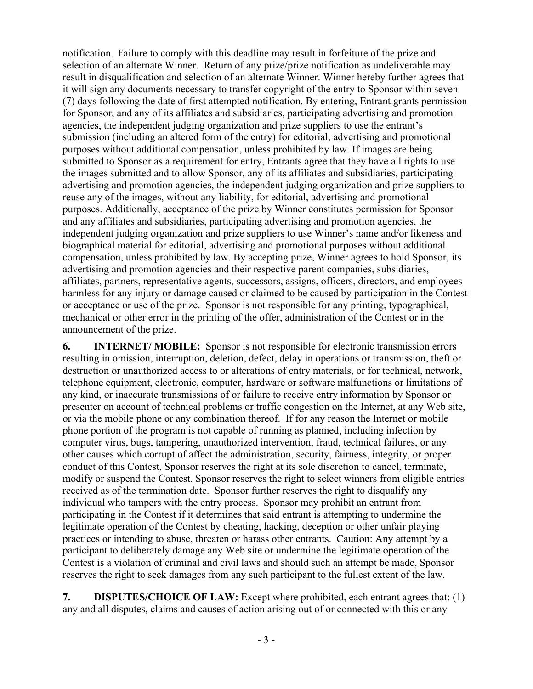notification. Failure to comply with this deadline may result in forfeiture of the prize and selection of an alternate Winner. Return of any prize/prize notification as undeliverable may result in disqualification and selection of an alternate Winner. Winner hereby further agrees that it will sign any documents necessary to transfer copyright of the entry to Sponsor within seven (7) days following the date of first attempted notification. By entering, Entrant grants permission for Sponsor, and any of its affiliates and subsidiaries, participating advertising and promotion agencies, the independent judging organization and prize suppliers to use the entrant's submission (including an altered form of the entry) for editorial, advertising and promotional purposes without additional compensation, unless prohibited by law. If images are being submitted to Sponsor as a requirement for entry, Entrants agree that they have all rights to use the images submitted and to allow Sponsor, any of its affiliates and subsidiaries, participating advertising and promotion agencies, the independent judging organization and prize suppliers to reuse any of the images, without any liability, for editorial, advertising and promotional purposes. Additionally, acceptance of the prize by Winner constitutes permission for Sponsor and any affiliates and subsidiaries, participating advertising and promotion agencies, the independent judging organization and prize suppliers to use Winner's name and/or likeness and biographical material for editorial, advertising and promotional purposes without additional compensation, unless prohibited by law. By accepting prize, Winner agrees to hold Sponsor, its advertising and promotion agencies and their respective parent companies, subsidiaries, affiliates, partners, representative agents, successors, assigns, officers, directors, and employees harmless for any injury or damage caused or claimed to be caused by participation in the Contest or acceptance or use of the prize. Sponsor is not responsible for any printing, typographical, mechanical or other error in the printing of the offer, administration of the Contest or in the announcement of the prize.

**6. INTERNET/ MOBILE:** Sponsor is not responsible for electronic transmission errors resulting in omission, interruption, deletion, defect, delay in operations or transmission, theft or destruction or unauthorized access to or alterations of entry materials, or for technical, network, telephone equipment, electronic, computer, hardware or software malfunctions or limitations of any kind, or inaccurate transmissions of or failure to receive entry information by Sponsor or presenter on account of technical problems or traffic congestion on the Internet, at any Web site, or via the mobile phone or any combination thereof. If for any reason the Internet or mobile phone portion of the program is not capable of running as planned, including infection by computer virus, bugs, tampering, unauthorized intervention, fraud, technical failures, or any other causes which corrupt of affect the administration, security, fairness, integrity, or proper conduct of this Contest, Sponsor reserves the right at its sole discretion to cancel, terminate, modify or suspend the Contest. Sponsor reserves the right to select winners from eligible entries received as of the termination date. Sponsor further reserves the right to disqualify any individual who tampers with the entry process. Sponsor may prohibit an entrant from participating in the Contest if it determines that said entrant is attempting to undermine the legitimate operation of the Contest by cheating, hacking, deception or other unfair playing practices or intending to abuse, threaten or harass other entrants. Caution: Any attempt by a participant to deliberately damage any Web site or undermine the legitimate operation of the Contest is a violation of criminal and civil laws and should such an attempt be made, Sponsor reserves the right to seek damages from any such participant to the fullest extent of the law.

**7. DISPUTES/CHOICE OF LAW:** Except where prohibited, each entrant agrees that: (1) any and all disputes, claims and causes of action arising out of or connected with this or any